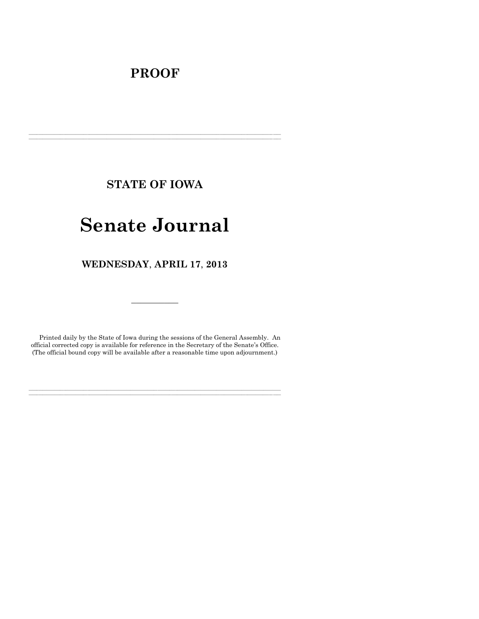# **PROOF**

**STATE OF IOWA**

**\_\_\_\_\_\_\_\_\_\_\_\_\_\_\_\_\_\_\_\_\_\_\_\_\_\_\_\_\_\_\_\_\_\_\_\_\_\_\_\_\_\_\_\_\_\_\_\_\_\_\_\_\_\_\_\_\_\_\_\_\_\_\_\_\_\_\_\_\_\_\_\_\_\_\_\_\_\_\_\_\_\_\_\_\_\_\_\_\_\_\_\_\_\_\_\_\_\_\_\_\_\_\_\_\_\_\_\_\_\_\_\_\_\_\_\_\_\_\_\_\_\_\_\_\_\_\_\_\_ \_\_\_\_\_\_\_\_\_\_\_\_\_\_\_\_\_\_\_\_\_\_\_\_\_\_\_\_\_\_\_\_\_\_\_\_\_\_\_\_\_\_\_\_\_\_\_\_\_\_\_\_\_\_\_\_\_\_\_\_\_\_\_\_\_\_\_\_\_\_\_\_\_\_\_\_\_\_\_\_\_\_\_\_\_\_\_\_\_\_\_\_\_\_\_\_\_\_\_\_\_\_\_\_\_\_\_\_\_\_\_\_\_\_\_\_\_\_\_\_\_\_\_\_\_\_\_\_\_**

# **Senate Journal**

**WEDNESDAY**, **APRIL 17**, **2013**

Printed daily by the State of Iowa during the sessions of the General Assembly. An official corrected copy is available for reference in the Secretary of the Senate's Office. (The official bound copy will be available after a reasonable time upon adjournment.)

**\_\_\_\_\_\_\_\_\_\_\_\_\_\_\_\_\_\_\_\_\_\_\_\_\_\_\_\_\_\_\_\_\_\_\_\_\_\_\_\_\_\_\_\_\_\_\_\_\_\_\_\_\_\_\_\_\_\_\_\_\_\_\_\_\_\_\_\_\_\_\_\_\_\_\_\_\_\_\_\_\_\_\_\_\_\_\_\_\_\_\_\_\_\_\_\_\_\_\_\_\_\_\_\_\_\_\_\_\_\_\_\_\_\_\_\_\_\_\_\_\_\_\_\_\_\_\_\_\_ \_\_\_\_\_\_\_\_\_\_\_\_\_\_\_\_\_\_\_\_\_\_\_\_\_\_\_\_\_\_\_\_\_\_\_\_\_\_\_\_\_\_\_\_\_\_\_\_\_\_\_\_\_\_\_\_\_\_\_\_\_\_\_\_\_\_\_\_\_\_\_\_\_\_\_\_\_\_\_\_\_\_\_\_\_\_\_\_\_\_\_\_\_\_\_\_\_\_\_\_\_\_\_\_\_\_\_\_\_\_\_\_\_\_\_\_\_\_\_\_\_\_\_\_\_\_\_\_\_**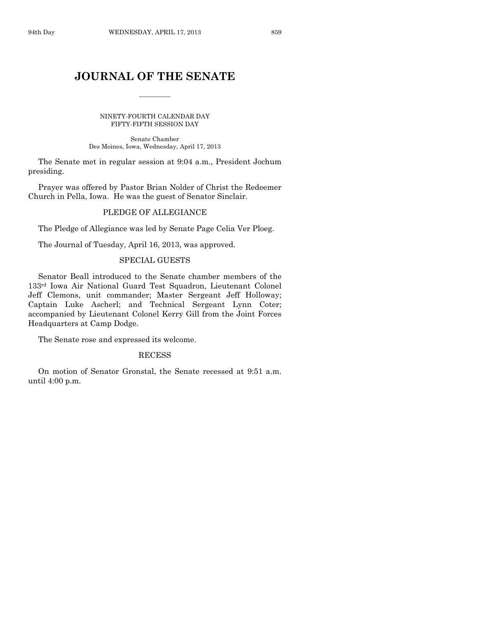# **JOURNAL OF THE SENATE**

 $\frac{1}{2}$ 

NINETY-FOURTH CALENDAR DAY FIFTY-FIFTH SESSION DAY

Senate Chamber Des Moines, Iowa, Wednesday, April 17, 2013

The Senate met in regular session at 9:04 a.m., President Jochum presiding.

Prayer was offered by Pastor Brian Nolder of Christ the Redeemer Church in Pella, Iowa. He was the guest of Senator Sinclair.

#### PLEDGE OF ALLEGIANCE

The Pledge of Allegiance was led by Senate Page Celia Ver Ploeg.

The Journal of Tuesday, April 16, 2013, was approved.

#### SPECIAL GUESTS

Senator Beall introduced to the Senate chamber members of the 133rd Iowa Air National Guard Test Squadron, Lieutenant Colonel Jeff Clemons, unit commander; Master Sergeant Jeff Holloway; Captain Luke Ascherl; and Technical Sergeant Lynn Coter; accompanied by Lieutenant Colonel Kerry Gill from the Joint Forces Headquarters at Camp Dodge.

The Senate rose and expressed its welcome.

#### RECESS

On motion of Senator Gronstal, the Senate recessed at 9:51 a.m. until 4:00 p.m.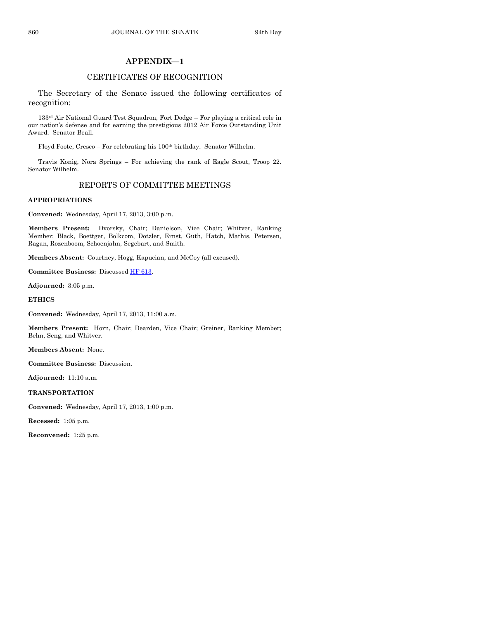#### **APPENDIX—1**

#### CERTIFICATES OF RECOGNITION

The Secretary of the Senate issued the following certificates of recognition:

133rd Air National Guard Test Squadron, Fort Dodge – For playing a critical role in our nation's defense and for earning the prestigious 2012 Air Force Outstanding Unit Award. Senator Beall.

Floyd Foote, Cresco – For celebrating his 100th birthday. Senator Wilhelm.

Travis Konig, Nora Springs – For achieving the rank of Eagle Scout, Troop 22. Senator Wilhelm.

#### REPORTS OF COMMITTEE MEETINGS

#### **APPROPRIATIONS**

**Convened:** Wednesday, April 17, 2013, 3:00 p.m.

**Members Present:** Dvorsky, Chair; Danielson, Vice Chair; Whitver, Ranking Member; Black, Boettger, Bolkcom, Dotzler, Ernst, Guth, Hatch, Mathis, Petersen, Ragan, Rozenboom, Schoenjahn, Segebart, and Smith.

**Members Absent:** Courtney, Hogg, Kapucian, and McCoy (all excused).

**Committee Business:** Discusse[d HF 613.](http://coolice.legis.state.ia.us/Cool-ICE/default.asp?Category=billinfo&Service=Billbook&frame=1&GA=85&hbill=HF613)

**Adjourned:** 3:05 p.m.

**ETHICS**

**Convened:** Wednesday, April 17, 2013, 11:00 a.m.

**Members Present:** Horn, Chair; Dearden, Vice Chair; Greiner, Ranking Member; Behn, Seng, and Whitver.

**Members Absent:** None.

**Committee Business:** Discussion.

**Adjourned:** 11:10 a.m.

**TRANSPORTATION**

**Convened:** Wednesday, April 17, 2013, 1:00 p.m.

**Recessed:** 1:05 p.m.

**Reconvened:** 1:25 p.m.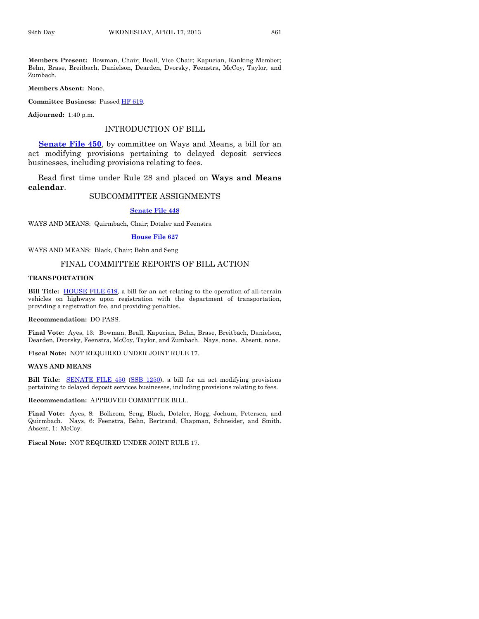**Members Present:** Bowman, Chair; Beall, Vice Chair; Kapucian, Ranking Member; Behn, Brase, Breitbach, Danielson, Dearden, Dvorsky, Feenstra, McCoy, Taylor, and Zumbach.

**Members Absent:** None.

**Committee Business:** Passed [HF 619.](http://coolice.legis.state.ia.us/Cool-ICE/default.asp?Category=billinfo&Service=Billbook&frame=1&GA=85&hbill=HF619)

**Adjourned:** 1:40 p.m.

#### INTRODUCTION OF BILL

**[Senate File 450](http://coolice.legis.state.ia.us/Cool-ICE/default.asp?Category=billinfo&Service=Billbook&frame=1&GA=85&hbill=SF450)**, by committee on Ways and Means, a bill for an act modifying provisions pertaining to delayed deposit services businesses, including provisions relating to fees.

Read first time under Rule 28 and placed on **Ways and Means calendar**.

#### SUBCOMMITTEE ASSIGNMENTS

**[Senate File 448](http://coolice.legis.state.ia.us/Cool-ICE/default.asp?Category=billinfo&Service=Billbook&frame=1&GA=85&hbill=SF448)**

WAYS AND MEANS: Quirmbach, Chair; Dotzler and Feenstra

#### **[House File 627](http://coolice.legis.state.ia.us/Cool-ICE/default.asp?Category=billinfo&Service=Billbook&frame=1&GA=85&hbill=HF627)**

WAYS AND MEANS: Black, Chair; Behn and Seng

#### FINAL COMMITTEE REPORTS OF BILL ACTION

#### **TRANSPORTATION**

**Bill Title:** [HOUSE FILE 619,](http://coolice.legis.state.ia.us/Cool-ICE/default.asp?Category=billinfo&Service=Billbook&frame=1&GA=85&hbill=HF619) a bill for an act relating to the operation of all-terrain vehicles on highways upon registration with the department of transportation, providing a registration fee, and providing penalties.

**Recommendation:** DO PASS.

**Final Vote:** Ayes, 13: Bowman, Beall, Kapucian, Behn, Brase, Breitbach, Danielson, Dearden, Dvorsky, Feenstra, McCoy, Taylor, and Zumbach. Nays, none. Absent, none.

**Fiscal Note:** NOT REQUIRED UNDER JOINT RULE 17.

#### **WAYS AND MEANS**

**Bill Title:** [SENATE FILE 450](http://coolice.legis.state.ia.us/Cool-ICE/default.asp?Category=billinfo&Service=Billbook&frame=1&GA=85&hbill=SF450) [\(SSB 1250\)](http://coolice.legis.state.ia.us/Cool-ICE/default.asp?Category=billinfo&Service=Billbook&frame=1&GA=85&hbill=SSB1250), a bill for an act modifying provisions pertaining to delayed deposit services businesses, including provisions relating to fees.

**Recommendation:** APPROVED COMMITTEE BILL.

**Final Vote:** Ayes, 8: Bolkcom, Seng, Black, Dotzler, Hogg, Jochum, Petersen, and Quirmbach. Nays, 6: Feenstra, Behn, Bertrand, Chapman, Schneider, and Smith. Absent, 1: McCoy.

**Fiscal Note:** NOT REQUIRED UNDER JOINT RULE 17.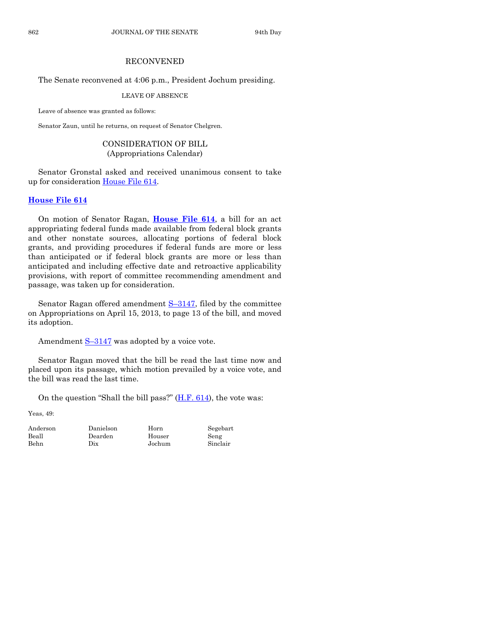#### RECONVENED

#### The Senate reconvened at 4:06 p.m., President Jochum presiding.

LEAVE OF ABSENCE

Leave of absence was granted as follows:

Senator Zaun, until he returns, on request of Senator Chelgren.

#### CONSIDERATION OF BILL (Appropriations Calendar)

Senator Gronstal asked and received unanimous consent to take up for consideration [House File 614.](http://coolice.legis.state.ia.us/Cool-ICE/default.asp?Category=billinfo&Service=Billbook&frame=1&GA=85&hbill=HF614)

#### **[House File 614](http://coolice.legis.state.ia.us/Cool-ICE/default.asp?Category=billinfo&Service=Billbook&frame=1&GA=85&hbill=HF614)**

On motion of Senator Ragan, **[House File 614](http://coolice.legis.state.ia.us/Cool-ICE/default.asp?Category=billinfo&Service=Billbook&frame=1&GA=85&hbill=HF614)**, a bill for an act appropriating federal funds made available from federal block grants and other nonstate sources, allocating portions of federal block grants, and providing procedures if federal funds are more or less than anticipated or if federal block grants are more or less than anticipated and including effective date and retroactive applicability provisions, with report of committee recommending amendment and passage, was taken up for consideration.

Senator Ragan offered amendment  $S-3147$ , filed by the committee on Appropriations on April 15, 2013, to page 13 of the bill, and moved its adoption.

Amendment  $S-3147$  $S-3147$  was adopted by a voice vote.

Senator Ragan moved that the bill be read the last time now and placed upon its passage, which motion prevailed by a voice vote, and the bill was read the last time.

On the question "Shall the bill pass?"  $(H.F. 614)$ , the vote was:

Yeas, 49:

Anderson Danielson Horn Segebart Beall Dearden Houser Seng Behn Dix Jochum Sinclair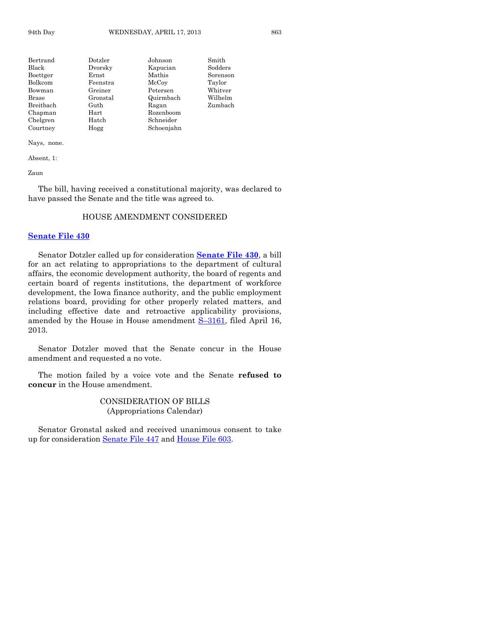| Bertrand       | Dotzler    | Johnson    | Smith    |
|----------------|------------|------------|----------|
| Black          | Dvorsky    | Kapucian   | Sodders  |
| Boettger       | Ernst      | Mathis     | Sorenson |
| <b>Bolkcom</b> | Feenstra   | McCoy      | Taylor   |
| Bowman         | Greiner    | Petersen   | Whitver  |
| Brase          | Gronstal   | Quirmbach  | Wilhelm  |
| Breitbach      | Guth       | Ragan      | Zumbach  |
| Chapman        | $\rm Hart$ | Rozenboom  |          |
| Chelgren       | Hatch      | Schneider  |          |
| Courtney       | Hogg       | Schoenjahn |          |

Nays, none.

Absent, 1:

Zaun

The bill, having received a constitutional majority, was declared to have passed the Senate and the title was agreed to.

#### HOUSE AMENDMENT CONSIDERED

#### **[Senate File 430](http://coolice.legis.state.ia.us/Cool-ICE/default.asp?Category=billinfo&Service=Billbook&frame=1&GA=85&hbill=SF430)**

Senator Dotzler called up for consideration **[Senate File 430](http://coolice.legis.state.ia.us/Cool-ICE/default.asp?Category=billinfo&Service=Billbook&frame=1&GA=85&hbill=SF430)**, a bill for an act relating to appropriations to the department of cultural affairs, the economic development authority, the board of regents and certain board of regents institutions, the department of workforce development, the Iowa finance authority, and the public employment relations board, providing for other properly related matters, and including effective date and retroactive applicability provisions, amended by the House in House amendment **S**–[3161,](http://coolice.legis.state.ia.us/Cool-ICE/default.asp?Category=billinfo&Service=Billbook&frame=1&GA=85&hbill=S3161) filed April 16, 2013.

Senator Dotzler moved that the Senate concur in the House amendment and requested a no vote.

The motion failed by a voice vote and the Senate **refused to concur** in the House amendment.

> CONSIDERATION OF BILLS (Appropriations Calendar)

Senator Gronstal asked and received unanimous consent to take up for consideration [Senate File 447](http://coolice.legis.state.ia.us/Cool-ICE/default.asp?Category=billinfo&Service=Billbook&frame=1&GA=85&hbill=SF447) and [House File 603.](http://coolice.legis.state.ia.us/Cool-ICE/default.asp?Category=billinfo&Service=Billbook&frame=1&GA=85&hbill=HF603)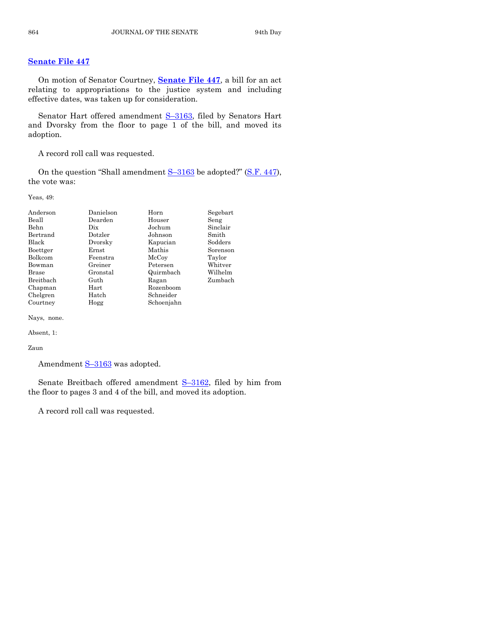#### **[Senate File 447](http://coolice.legis.state.ia.us/Cool-ICE/default.asp?Category=billinfo&Service=Billbook&frame=1&GA=85&hbill=SF447)**

On motion of Senator Courtney, **[Senate File 447](http://coolice.legis.state.ia.us/Cool-ICE/default.asp?Category=billinfo&Service=Billbook&frame=1&GA=85&hbill=SF447)**, a bill for an act relating to appropriations to the justice system and including effective dates, was taken up for consideration.

Senator Hart offered amendment S-[3163,](http://coolice.legis.state.ia.us/Cool-ICE/default.asp?Category=billinfo&Service=Billbook&frame=1&GA=85&hbill=S3163) filed by Senators Hart and Dvorsky from the floor to page 1 of the bill, and moved its adoption.

A record roll call was requested.

On the question "Shall amendment S–[3163](http://coolice.legis.state.ia.us/Cool-ICE/default.asp?Category=billinfo&Service=Billbook&frame=1&GA=85&hbill=S3163) be adopted?" [\(S.F. 447\)](http://coolice.legis.state.ia.us/Cool-ICE/default.asp?Category=billinfo&Service=Billbook&frame=1&GA=85&hbill=SF447), the vote was:

Yeas, 49:

| Anderson     | Danielson | Horn       | Segebart |
|--------------|-----------|------------|----------|
| Beall        | Dearden   | Houser     | Seng     |
| Behn         | Dix       | Jochum     | Sinclair |
| Bertrand     | Dotzler   | Johnson    | Smith    |
| <b>Black</b> | Dvorsky   | Kapucian   | Sodders  |
| Boettger     | Ernst     | Mathis     | Sorenson |
| Bolkcom      | Feenstra  | McCoy      | Taylor   |
| Bowman       | Greiner   | Petersen   | Whitver  |
| <b>Brase</b> | Gronstal  | Quirmbach  | Wilhelm  |
| Breithach    | Guth      | Ragan      | Zumbach  |
| Chapman      | Hart      | Rozenboom  |          |
| Chelgren     | Hatch     | Schneider  |          |
| Courtney     | Hogg      | Schoenjahn |          |

Nays, none.

Absent, 1:

Zaun

Amendment  $S-3163$  $S-3163$  was adopted.

Senate Breitbach offered amendment S–[3162,](http://coolice.legis.state.ia.us/Cool-ICE/default.asp?Category=billinfo&Service=Billbook&frame=1&GA=85&hbill=S3162) filed by him from the floor to pages 3 and 4 of the bill, and moved its adoption.

A record roll call was requested.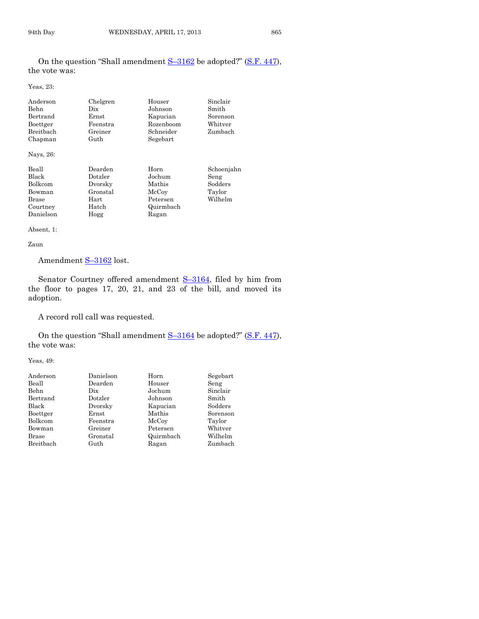On the question "Shall amendment  $S-3162$  $S-3162$  be adopted?" [\(S.F. 447\)](http://coolice.legis.state.ia.us/Cool-ICE/default.asp?Category=billinfo&Service=Billbook&frame=1&GA=85&hbill=SF447), the vote was:

Yeas, 23:

| Anderson         | Chelgren | Houser    | Sinclair   |
|------------------|----------|-----------|------------|
| <b>Behn</b>      | Dix.     | Johnson   | Smith      |
| Bertrand         | Ernst    | Kapucian  | Sorenson   |
| Boettger         | Feenstra | Rozenboom | Whitver    |
| <b>Breithach</b> | Greiner  | Schneider | Zumbach    |
| Chapman          | Guth     | Segebart  |            |
| Nays, 26:        |          |           |            |
| Beall            | Dearden  | Horn      | Schoenjahn |
| Black            | Dotzler  | Jochum    | Seng       |
| Bolkcom          | Dvorsky  | Mathis    | Sodders    |
| Bowman           | Gronstal | McCoy     | Taylor     |
| <b>Brase</b>     | Hart     | Petersen  | Wilhelm    |
| Courtney         | Hatch    | Quirmbach |            |
| Danielson        | Hogg     | Ragan     |            |

Absent, 1:

Zaun

Amendment S-[3162](http://coolice.legis.state.ia.us/Cool-ICE/default.asp?Category=billinfo&Service=Billbook&frame=1&GA=85&hbill=S3162) lost.

Senator Courtney offered amendment S–[3164,](http://coolice.legis.state.ia.us/Cool-ICE/default.asp?Category=billinfo&Service=Billbook&frame=1&GA=85&hbill=S3164) filed by him from the floor to pages 17, 20, 21, and 23 of the bill, and moved its adoption.

A record roll call was requested.

On the question "Shall amendment  $S-3164$  $S-3164$  be adopted?" [\(S.F. 447\)](http://coolice.legis.state.ia.us/Cool-ICE/default.asp?Category=billinfo&Service=Billbook&frame=1&GA=85&hbill=SF447), the vote was:

Yeas, 49:

| Danielson | Horn      | Segebart |
|-----------|-----------|----------|
| Dearden   | Houser    | Seng     |
| Dix       | Jochum    | Sinclair |
| Dotzler   | Johnson   | Smith    |
| Dvorsky   | Kapucian  | Sodders  |
| Ernst     | Mathis    | Sorenson |
| Feenstra  | McCoy     | Taylor   |
| Greiner   | Petersen  | Whitver  |
| Gronstal  | Quirmbach | Wilhelm  |
| Guth      | Ragan     | Zumbach  |
|           |           |          |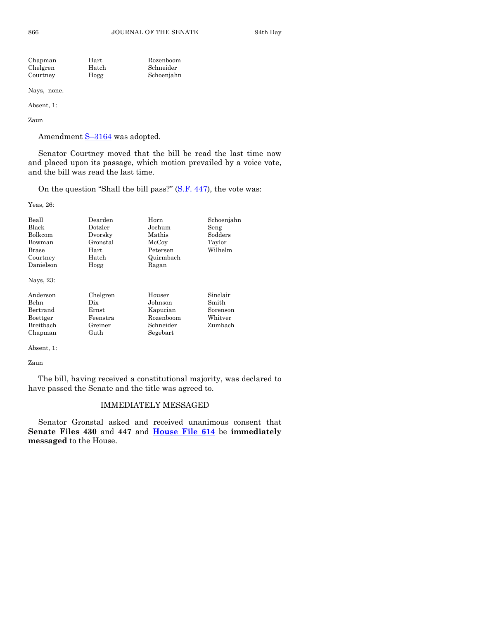866 JOURNAL OF THE SENATE 94th Day

| Chapman  | Hart  | Rozenboom  |
|----------|-------|------------|
| Chelgren | Hatch | Schneider  |
| Courtney | Hogg  | Schoenjahn |

Nays, none.

Absent, 1:

Zaun

Amendment S-[3164](http://coolice.legis.state.ia.us/Cool-ICE/default.asp?Category=billinfo&Service=Billbook&frame=1&GA=85&hbill=S3164) was adopted.

Senator Courtney moved that the bill be read the last time now and placed upon its passage, which motion prevailed by a voice vote, and the bill was read the last time.

On the question "Shall the bill pass?" [\(S.F. 447\)](http://coolice.legis.state.ia.us/Cool-ICE/default.asp?Category=billinfo&Service=Billbook&frame=1&GA=85&hbill=SF447), the vote was:

Yeas, 26:

| Beall<br><b>Black</b><br>Bolkcom<br>Bowman<br>Brase<br>Courtney<br>Danielson<br>Nays, 23: | Dearden<br>Dotzler<br>Dvorsky<br>Gronstal<br>Hart<br>Hatch<br>Hogg | Horn<br>Jochum<br>Mathis<br>McCoy<br>Petersen<br>Quirmbach<br>Ragan | Schoenjahn<br>Seng<br>Sodders<br>Taylor<br>Wilhelm  |
|-------------------------------------------------------------------------------------------|--------------------------------------------------------------------|---------------------------------------------------------------------|-----------------------------------------------------|
| Anderson<br><b>Behn</b><br>Bertrand<br>Boettger<br>Breitbach<br>Chapman                   | Chelgren<br>Dix<br>Ernst<br>Feenstra<br>Greiner<br>Guth            | Houser<br>Johnson<br>Kapucian<br>Rozenboom<br>Schneider<br>Segebart | Sinclair<br>Smith<br>Sorenson<br>Whitver<br>Zumbach |

Absent, 1:

Zaun

The bill, having received a constitutional majority, was declared to have passed the Senate and the title was agreed to.

#### IMMEDIATELY MESSAGED

Senator Gronstal asked and received unanimous consent that **Senate Files 430** and **447** and **[House File 614](http://coolice.legis.state.ia.us/Cool-ICE/default.asp?Category=billinfo&Service=Billbook&frame=1&GA=85&hbill=HF614)** be **immediately messaged** to the House.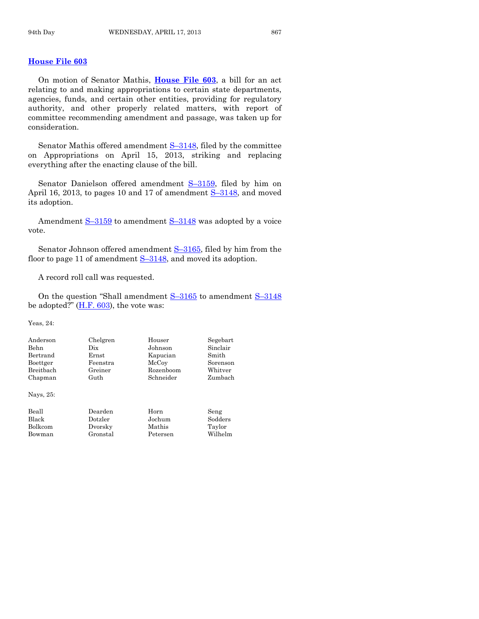#### **[House File 603](http://coolice.legis.state.ia.us/Cool-ICE/default.asp?Category=billinfo&Service=Billbook&frame=1&GA=85&hbill=HF603)**

On motion of Senator Mathis, **[House File 603](http://coolice.legis.state.ia.us/Cool-ICE/default.asp?Category=billinfo&Service=Billbook&frame=1&GA=85&hbill=HF603)**, a bill for an act relating to and making appropriations to certain state departments, agencies, funds, and certain other entities, providing for regulatory authority, and other properly related matters, with report of committee recommending amendment and passage, was taken up for consideration.

Senator Mathis offered amendment  $S-3148$ , filed by the committee on Appropriations on April 15, 2013, striking and replacing everything after the enacting clause of the bill.

Senator Danielson offered amendment S-[3159,](http://coolice.legis.state.ia.us/Cool-ICE/default.asp?Category=billinfo&Service=Billbook&frame=1&GA=85&hbill=S3159) filed by him on April 16, 2013, to pages 10 and 17 of amendment S-[3148,](http://coolice.legis.state.ia.us/Cool-ICE/default.asp?Category=billinfo&Service=Billbook&frame=1&GA=85&hbill=S3148) and moved its adoption.

Amendment  $S-3159$  $S-3159$  to amendment  $S-3148$  $S-3148$  was adopted by a voice vote.

Senator Johnson offered amendment S-[3165,](http://coolice.legis.state.ia.us/Cool-ICE/default.asp?Category=billinfo&Service=Billbook&frame=1&GA=85&hbill=S3165) filed by him from the floor to page 11 of amendment  $S-3148$ , and moved its adoption.

A record roll call was requested.

On the question "Shall amendment  $S-3165$  $S-3165$  to amendment  $S-3148$  $S-3148$ be adopted?"  $(H.F. 603)$ , the vote was:

Yeas, 24:

| Anderson                | Chelgren | Houser    | Segebart |
|-------------------------|----------|-----------|----------|
| Behn                    | Dix      | Johnson   | Sinclair |
| Bertrand                | Ernst    | Kapucian  | Smith    |
| Boettger                | Feenstra | McCoy     | Sorenson |
| Breitbach               | Greiner  | Rozenboom | Whitver  |
| Chapman                 | Guth     | Schneider | Zumbach  |
| $N$ <sub>aye</sub> $95$ |          |           |          |

Nays, 25:

| Beall   |  |
|---------|--|
| Black   |  |
| Bolkcom |  |
| Bowman  |  |

Dearden Horn Seng Gronstal Petersen

Black Dotzler Jochum Sodders Bolkcom Dvorsky Mathis Taylor<br>Gronstal Petersen Wilhelm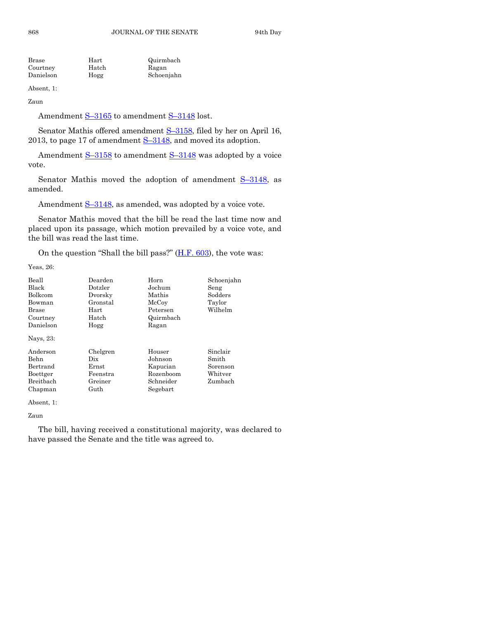| Hart  | Quirmbach  |
|-------|------------|
| Hatch | Ragan      |
| Hogg  | Schoenjahn |
|       |            |

Absent, 1:

Zaun

Amendment S-[3165](http://coolice.legis.state.ia.us/Cool-ICE/default.asp?Category=billinfo&Service=Billbook&frame=1&GA=85&hbill=S3165) to amendment S-[3148](http://coolice.legis.state.ia.us/Cool-ICE/default.asp?Category=billinfo&Service=Billbook&frame=1&GA=85&hbill=S3148) lost.

Senator Mathis offered amendment S-[3158,](http://coolice.legis.state.ia.us/Cool-ICE/default.asp?Category=billinfo&Service=Billbook&frame=1&GA=85&hbill=S3158) filed by her on April 16, 2013, to page 17 of amendment  $S-3148$ , and moved its adoption.

Amendment  $S-3158$  $S-3158$  to amendment  $S-3148$  $S-3148$  was adopted by a voice vote.

Senator Mathis moved the adoption of amendment  $S-3148$ , as amended.

Amendment S-[3148,](http://coolice.legis.state.ia.us/Cool-ICE/default.asp?Category=billinfo&Service=Billbook&frame=1&GA=85&hbill=S3148) as amended, was adopted by a voice vote.

Senator Mathis moved that the bill be read the last time now and placed upon its passage, which motion prevailed by a voice vote, and the bill was read the last time.

On the question "Shall the bill pass?" [\(H.F. 603\)](http://coolice.legis.state.ia.us/Cool-ICE/default.asp?Category=billinfo&Service=Billbook&frame=1&GA=85&hbill=HF603), the vote was:

Yeas, 26:

| Beall        | Dearden     | Horn      | Schoenjahn |
|--------------|-------------|-----------|------------|
| Black        | Dotzler     | Jochum    | Seng       |
| Bolkcom      | Dvorsky     | Mathis    | Sodders    |
| Bowman       | Gronstal    | McCoy     | Taylor     |
| <b>Brase</b> | Hart        | Petersen  | Wilhelm    |
| Courtney     | Hatch       | Quirmbach |            |
| Danielson    | Hogg        | Ragan     |            |
| Nays, 23:    |             |           |            |
| Anderson     | Chelgren    | Houser    | Sinclair   |
| Behn         | Dix         | Johnson   | Smith      |
| Bertrand     | $\rm Ernst$ | Kapucian  | Sorenson   |
| Boettger     | Feenstra    | Rozenboom | Whitver    |
| Breitbach    | Greiner     | Schneider | Zumbach    |
| Chapman      | Guth        | Segebart  |            |

Absent, 1:

Zaun

The bill, having received a constitutional majority, was declared to have passed the Senate and the title was agreed to.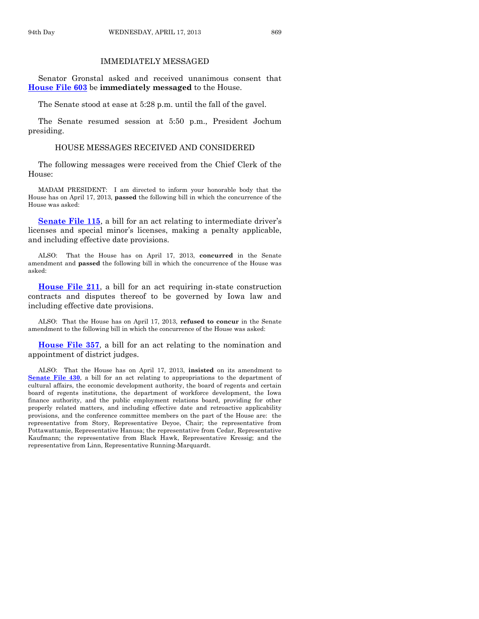#### IMMEDIATELY MESSAGED

Senator Gronstal asked and received unanimous consent that **[House File 603](http://coolice.legis.state.ia.us/Cool-ICE/default.asp?Category=billinfo&Service=Billbook&frame=1&GA=85&hbill=HF603)** be **immediately messaged** to the House.

The Senate stood at ease at 5:28 p.m. until the fall of the gavel.

The Senate resumed session at 5:50 p.m., President Jochum presiding.

#### HOUSE MESSAGES RECEIVED AND CONSIDERED

The following messages were received from the Chief Clerk of the House:

MADAM PRESIDENT: I am directed to inform your honorable body that the House has on April 17, 2013, **passed** the following bill in which the concurrence of the House was asked:

**[Senate File 115](http://coolice.legis.state.ia.us/Cool-ICE/default.asp?Category=billinfo&Service=Billbook&frame=1&GA=85&hbill=SF115)**, a bill for an act relating to intermediate driver's licenses and special minor's licenses, making a penalty applicable, and including effective date provisions.

ALSO: That the House has on April 17, 2013, **concurred** in the Senate amendment and **passed** the following bill in which the concurrence of the House was asked:

**[House File 211](http://coolice.legis.state.ia.us/Cool-ICE/default.asp?Category=billinfo&Service=Billbook&frame=1&GA=85&hbill=HF211)**, a bill for an act requiring in-state construction contracts and disputes thereof to be governed by Iowa law and including effective date provisions.

ALSO: That the House has on April 17, 2013, **refused to concur** in the Senate amendment to the following bill in which the concurrence of the House was asked:

**[House File 357](http://coolice.legis.state.ia.us/Cool-ICE/default.asp?Category=billinfo&Service=Billbook&frame=1&GA=85&hbill=HF357)**, a bill for an act relating to the nomination and appointment of district judges.

ALSO: That the House has on April 17, 2013, **insisted** on its amendment to **[Senate File 430](http://coolice.legis.state.ia.us/Cool-ICE/default.asp?Category=billinfo&Service=Billbook&frame=1&GA=85&hbill=SF430)**, a bill for an act relating to appropriations to the department of cultural affairs, the economic development authority, the board of regents and certain board of regents institutions, the department of workforce development, the Iowa finance authority, and the public employment relations board, providing for other properly related matters, and including effective date and retroactive applicability provisions, and the conference committee members on the part of the House are: the representative from Story, Representative Deyoe, Chair; the representative from Pottawattamie, Representative Hanusa; the representative from Cedar, Representative Kaufmann; the representative from Black Hawk, Representative Kressig; and the representative from Linn, Representative Running-Marquardt.